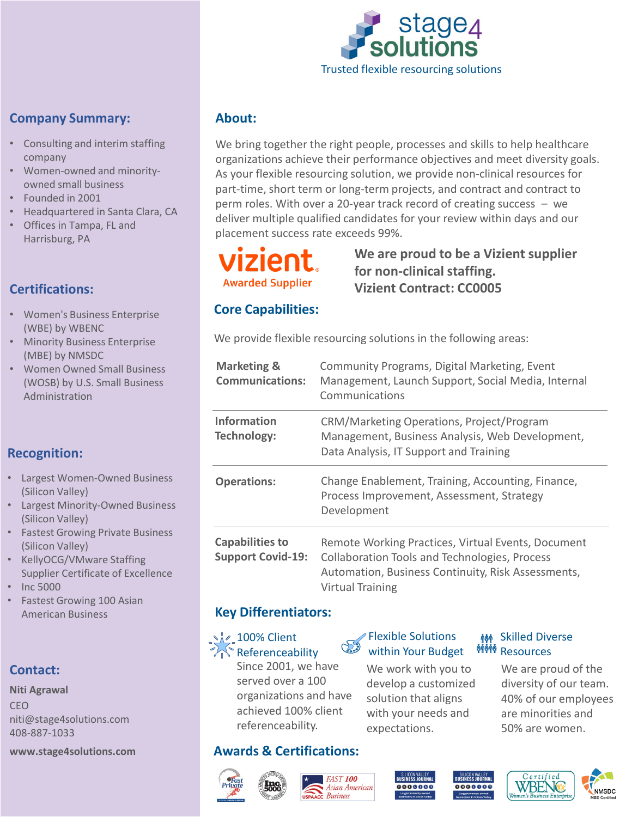

### **Company Summary:**

- Consulting and interim staffing company
- Women-owned and minorityowned small business
- Founded in 2001
- Headquartered in Santa Clara, CA
- Offices in Tampa, FL and Harrisburg, PA

# **Certifications:**

- Women's Business Enterprise (WBE) by WBENC
- Minority Business Enterprise (MBE) by NMSDC
- Women Owned Small Business (WOSB) by U.S. Small Business Administration

# **Recognition:**

- Largest Women-Owned Business (Silicon Valley)
- Largest Minority-Owned Business (Silicon Valley)
- **Fastest Growing Private Business** (Silicon Valley)
- KellyOCG/VMware Staffing Supplier Certificate of Excellence
- Inc 5000
- Fastest Growing 100 Asian American Business

#### **Contact:**

**Niti Agrawal** CEO niti@stage4solutions.com 408-887-1033

#### **www.stage4solutions.com**

#### **About:**

We bring together the right people, processes and skills to help healthcare organizations achieve their performance objectives and meet diversity goals. As your flexible resourcing solution, we provide non-clinical resources for part-time, short term or long-term projects, and contract and contract to perm roles. With over a 20-year track record of creating success – we deliver multiple qualified candidates for your review within days and our placement success rate exceeds 99%.

# **Awarded Supplier**

# **We are proud to be a Vizient supplier for non-clinical staffing. Vizient Contract: CC0005**

#### **Core Capabilities:**

We provide flexible resourcing solutions in the following areas:

| <b>Marketing &amp;</b><br><b>Communications:</b>   | Community Programs, Digital Marketing, Event<br>Management, Launch Support, Social Media, Internal<br>Communications                                                                        |
|----------------------------------------------------|---------------------------------------------------------------------------------------------------------------------------------------------------------------------------------------------|
| <b>Information</b><br><b>Technology:</b>           | CRM/Marketing Operations, Project/Program<br>Management, Business Analysis, Web Development,<br>Data Analysis, IT Support and Training                                                      |
| <b>Operations:</b>                                 | Change Enablement, Training, Accounting, Finance,<br>Process Improvement, Assessment, Strategy<br>Development                                                                               |
| <b>Capabilities to</b><br><b>Support Covid-19:</b> | Remote Working Practices, Virtual Events, Document<br><b>Collaboration Tools and Technologies, Process</b><br>Automation, Business Continuity, Risk Assessments,<br><b>Virtual Training</b> |

#### **Key Differentiators:**

 $\sqrt{2}$  100% Client **Referenceability** 

Since 2001, we have served over a 100 organizations and have achieved 100% client referenceability.

#### Flexible Solutions within Your Budget

We work with you to develop a customized solution that aligns with your needs and expectations.

#### **Awards & Certifications:**









We are proud of the diversity of our team. 40% of our employees are minorities and 50% are women.